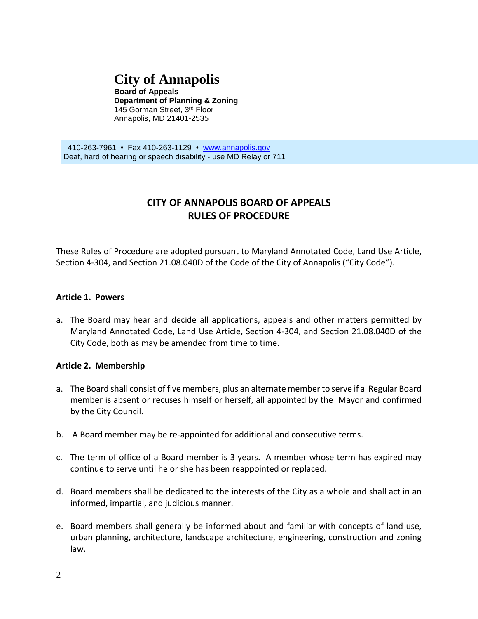# **City of Annapolis**

**Board of Appeals Department of Planning & Zoning** 145 Gorman Street, 3rd Floor Annapolis, MD 21401-2535

 410-263-7961 • Fax 410-263-1129 • [www.annapolis.gov](http://www.annapolis.gov/) Deaf, hard of hearing or speech disability - use MD Relay or 711

# **CITY OF ANNAPOLIS BOARD OF APPEALS RULES OF PROCEDURE**

These Rules of Procedure are adopted pursuant to Maryland Annotated Code, Land Use Article, Section 4-304, and Section 21.08.040D of the Code of the City of Annapolis ("City Code").

#### **Article 1. Powers**

a. The Board may hear and decide all applications, appeals and other matters permitted by Maryland Annotated Code, Land Use Article, Section 4-304, and Section 21.08.040D of the City Code, both as may be amended from time to time.

#### **Article 2. Membership**

- a. The Board shall consist of five members, plus an alternate memberto serve if a Regular Board member is absent or recuses himself or herself, all appointed by the Mayor and confirmed by the City Council.
- b. A Board member may be re-appointed for additional and consecutive terms.
- c. The term of office of a Board member is 3 years. A member whose term has expired may continue to serve until he or she has been reappointed or replaced.
- d. Board members shall be dedicated to the interests of the City as a whole and shall act in an informed, impartial, and judicious manner.
- e. Board members shall generally be informed about and familiar with concepts of land use, urban planning, architecture, landscape architecture, engineering, construction and zoning law.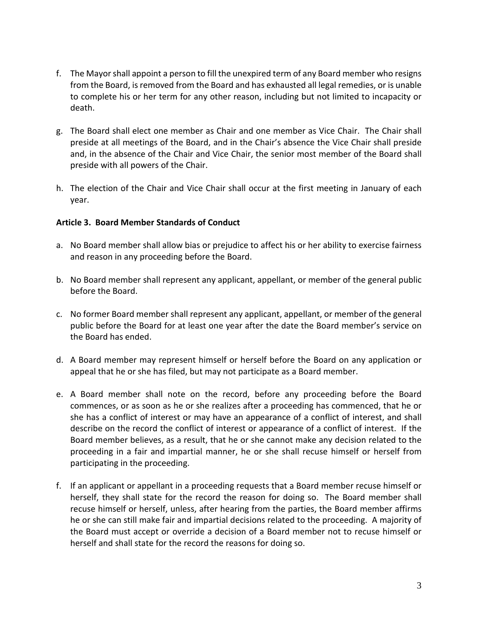- f. The Mayorshall appoint a person to fill the unexpired term of any Board member who resigns from the Board, is removed from the Board and has exhausted all legal remedies, or is unable to complete his or her term for any other reason, including but not limited to incapacity or death.
- g. The Board shall elect one member as Chair and one member as Vice Chair. The Chair shall preside at all meetings of the Board, and in the Chair's absence the Vice Chair shall preside and, in the absence of the Chair and Vice Chair, the senior most member of the Board shall preside with all powers of the Chair.
- h. The election of the Chair and Vice Chair shall occur at the first meeting in January of each year.

#### **Article 3. Board Member Standards of Conduct**

- a. No Board member shall allow bias or prejudice to affect his or her ability to exercise fairness and reason in any proceeding before the Board.
- b. No Board member shall represent any applicant, appellant, or member of the general public before the Board.
- c. No former Board member shall represent any applicant, appellant, or member of the general public before the Board for at least one year after the date the Board member's service on the Board has ended.
- d. A Board member may represent himself or herself before the Board on any application or appeal that he or she has filed, but may not participate as a Board member.
- e. A Board member shall note on the record, before any proceeding before the Board commences, or as soon as he or she realizes after a proceeding has commenced, that he or she has a conflict of interest or may have an appearance of a conflict of interest, and shall describe on the record the conflict of interest or appearance of a conflict of interest. If the Board member believes, as a result, that he or she cannot make any decision related to the proceeding in a fair and impartial manner, he or she shall recuse himself or herself from participating in the proceeding.
- f. If an applicant or appellant in a proceeding requests that a Board member recuse himself or herself, they shall state for the record the reason for doing so. The Board member shall recuse himself or herself, unless, after hearing from the parties, the Board member affirms he or she can still make fair and impartial decisions related to the proceeding. A majority of the Board must accept or override a decision of a Board member not to recuse himself or herself and shall state for the record the reasons for doing so.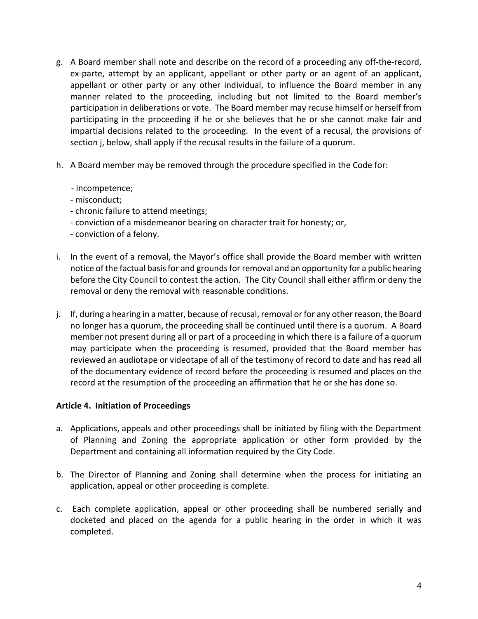- g. A Board member shall note and describe on the record of a proceeding any off-the-record, ex-parte, attempt by an applicant, appellant or other party or an agent of an applicant, appellant or other party or any other individual, to influence the Board member in any manner related to the proceeding, including but not limited to the Board member's participation in deliberations or vote. The Board member may recuse himself or herself from participating in the proceeding if he or she believes that he or she cannot make fair and impartial decisions related to the proceeding. In the event of a recusal, the provisions of section j, below, shall apply if the recusal results in the failure of a quorum.
- h. A Board member may be removed through the procedure specified in the Code for:
	- incompetence;
	- misconduct;
	- chronic failure to attend meetings;
	- conviction of a misdemeanor bearing on character trait for honesty; or,
	- conviction of a felony.
- i. In the event of a removal, the Mayor's office shall provide the Board member with written notice of the factual basis for and grounds for removal and an opportunity for a public hearing before the City Council to contest the action. The City Council shall either affirm or deny the removal or deny the removal with reasonable conditions.
- j. If, during a hearing in a matter, because of recusal, removal or for any other reason, the Board no longer has a quorum, the proceeding shall be continued until there is a quorum. A Board member not present during all or part of a proceeding in which there is a failure of a quorum may participate when the proceeding is resumed, provided that the Board member has reviewed an audiotape or videotape of all of the testimony of record to date and has read all of the documentary evidence of record before the proceeding is resumed and places on the record at the resumption of the proceeding an affirmation that he or she has done so.

#### **Article 4. Initiation of Proceedings**

- a. Applications, appeals and other proceedings shall be initiated by filing with the Department of Planning and Zoning the appropriate application or other form provided by the Department and containing all information required by the City Code.
- b. The Director of Planning and Zoning shall determine when the process for initiating an application, appeal or other proceeding is complete.
- c. Each complete application, appeal or other proceeding shall be numbered serially and docketed and placed on the agenda for a public hearing in the order in which it was completed.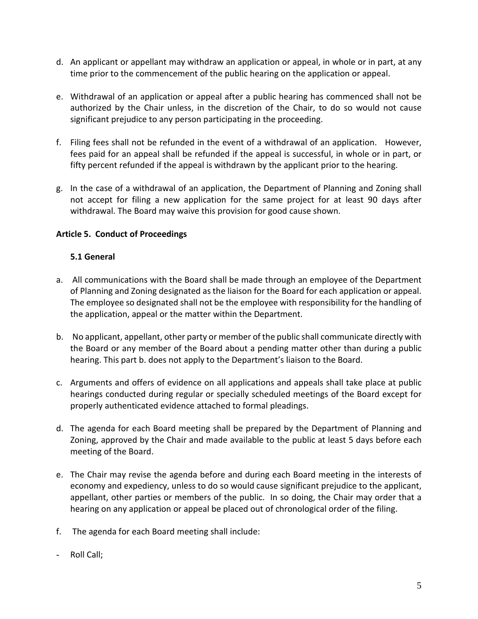- d. An applicant or appellant may withdraw an application or appeal, in whole or in part, at any time prior to the commencement of the public hearing on the application or appeal.
- e. Withdrawal of an application or appeal after a public hearing has commenced shall not be authorized by the Chair unless, in the discretion of the Chair, to do so would not cause significant prejudice to any person participating in the proceeding.
- f. Filing fees shall not be refunded in the event of a withdrawal of an application. However, fees paid for an appeal shall be refunded if the appeal is successful, in whole or in part, or fifty percent refunded if the appeal is withdrawn by the applicant prior to the hearing.
- g. In the case of a withdrawal of an application, the Department of Planning and Zoning shall not accept for filing a new application for the same project for at least 90 days after withdrawal. The Board may waive this provision for good cause shown.

# **Article 5. Conduct of Proceedings**

#### **5.1 General**

- a. All communications with the Board shall be made through an employee of the Department of Planning and Zoning designated as the liaison for the Board for each application or appeal. The employee so designated shall not be the employee with responsibility for the handling of the application, appeal or the matter within the Department.
- b. No applicant, appellant, other party or member of the public shall communicate directly with the Board or any member of the Board about a pending matter other than during a public hearing. This part b. does not apply to the Department's liaison to the Board.
- c. Arguments and offers of evidence on all applications and appeals shall take place at public hearings conducted during regular or specially scheduled meetings of the Board except for properly authenticated evidence attached to formal pleadings.
- d. The agenda for each Board meeting shall be prepared by the Department of Planning and Zoning, approved by the Chair and made available to the public at least 5 days before each meeting of the Board.
- e. The Chair may revise the agenda before and during each Board meeting in the interests of economy and expediency, unless to do so would cause significant prejudice to the applicant, appellant, other parties or members of the public. In so doing, the Chair may order that a hearing on any application or appeal be placed out of chronological order of the filing.
- f. The agenda for each Board meeting shall include:
- Roll Call;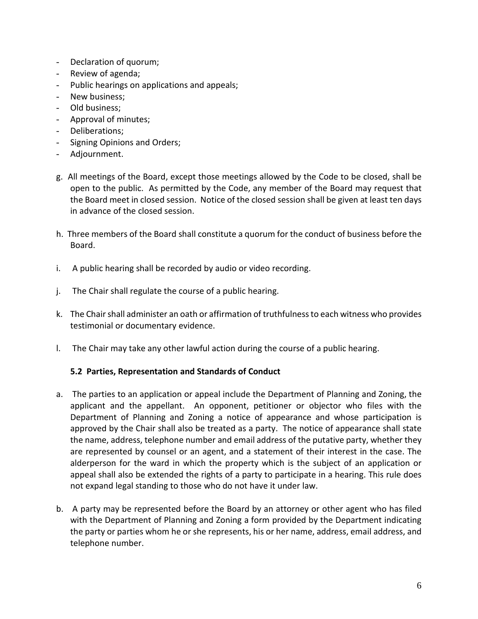- Declaration of quorum;
- Review of agenda;
- Public hearings on applications and appeals;
- New business;
- Old business;
- Approval of minutes;
- Deliberations;
- Signing Opinions and Orders;
- Adjournment.
- g. All meetings of the Board, except those meetings allowed by the Code to be closed, shall be open to the public. As permitted by the Code, any member of the Board may request that the Board meet in closed session. Notice of the closed session shall be given at least ten days in advance of the closed session.
- h. Three members of the Board shall constitute a quorum for the conduct of business before the Board.
- i. A public hearing shall be recorded by audio or video recording.
- j. The Chair shall regulate the course of a public hearing.
- k. The Chair shall administer an oath or affirmation of truthfulness to each witness who provides testimonial or documentary evidence.
- l. The Chair may take any other lawful action during the course of a public hearing.

#### **5.2 Parties, Representation and Standards of Conduct**

- a. The parties to an application or appeal include the Department of Planning and Zoning, the applicant and the appellant. An opponent, petitioner or objector who files with the Department of Planning and Zoning a notice of appearance and whose participation is approved by the Chair shall also be treated as a party. The notice of appearance shall state the name, address, telephone number and email address of the putative party, whether they are represented by counsel or an agent, and a statement of their interest in the case. The alderperson for the ward in which the property which is the subject of an application or appeal shall also be extended the rights of a party to participate in a hearing. This rule does not expand legal standing to those who do not have it under law.
- b. A party may be represented before the Board by an attorney or other agent who has filed with the Department of Planning and Zoning a form provided by the Department indicating the party or parties whom he or she represents, his or her name, address, email address, and telephone number.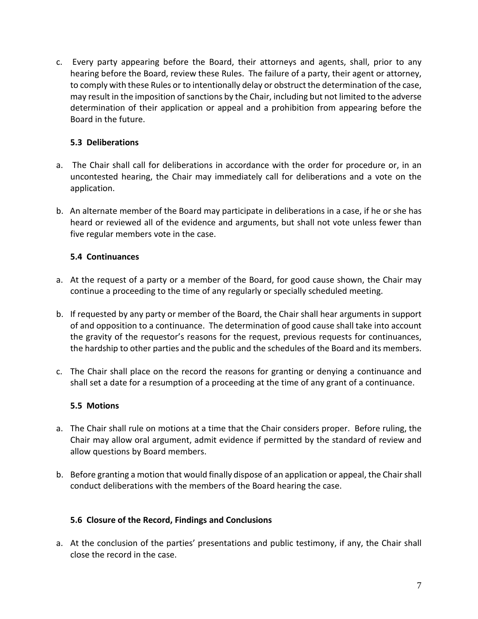c. Every party appearing before the Board, their attorneys and agents, shall, prior to any hearing before the Board, review these Rules. The failure of a party, their agent or attorney, to comply with these Rules or to intentionally delay or obstruct the determination of the case, may result in the imposition of sanctions by the Chair, including but not limited to the adverse determination of their application or appeal and a prohibition from appearing before the Board in the future.

#### **5.3 Deliberations**

- a. The Chair shall call for deliberations in accordance with the order for procedure or, in an uncontested hearing, the Chair may immediately call for deliberations and a vote on the application.
- b. An alternate member of the Board may participate in deliberations in a case, if he or she has heard or reviewed all of the evidence and arguments, but shall not vote unless fewer than five regular members vote in the case.

#### **5.4 Continuances**

- a. At the request of a party or a member of the Board, for good cause shown, the Chair may continue a proceeding to the time of any regularly or specially scheduled meeting.
- b. If requested by any party or member of the Board, the Chair shall hear arguments in support of and opposition to a continuance. The determination of good cause shall take into account the gravity of the requestor's reasons for the request, previous requests for continuances, the hardship to other parties and the public and the schedules of the Board and its members.
- c. The Chair shall place on the record the reasons for granting or denying a continuance and shall set a date for a resumption of a proceeding at the time of any grant of a continuance.

#### **5.5 Motions**

- a. The Chair shall rule on motions at a time that the Chair considers proper. Before ruling, the Chair may allow oral argument, admit evidence if permitted by the standard of review and allow questions by Board members.
- b. Before granting a motion that would finally dispose of an application or appeal, the Chair shall conduct deliberations with the members of the Board hearing the case.

#### **5.6 Closure of the Record, Findings and Conclusions**

a. At the conclusion of the parties' presentations and public testimony, if any, the Chair shall close the record in the case.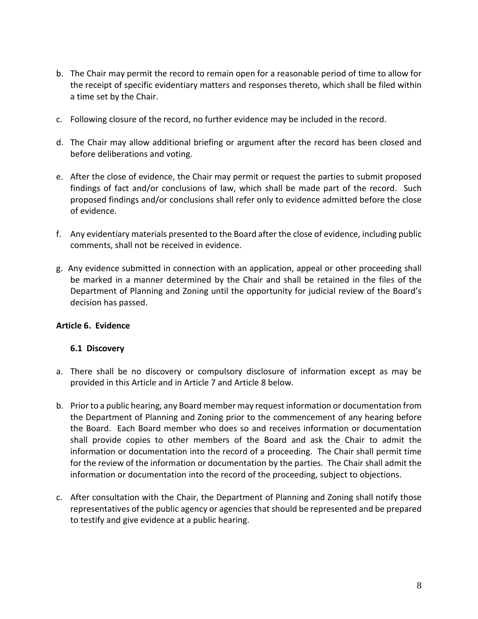- b. The Chair may permit the record to remain open for a reasonable period of time to allow for the receipt of specific evidentiary matters and responses thereto, which shall be filed within a time set by the Chair.
- c. Following closure of the record, no further evidence may be included in the record.
- d. The Chair may allow additional briefing or argument after the record has been closed and before deliberations and voting.
- e. After the close of evidence, the Chair may permit or request the parties to submit proposed findings of fact and/or conclusions of law, which shall be made part of the record. Such proposed findings and/or conclusions shall refer only to evidence admitted before the close of evidence.
- f. Any evidentiary materials presented to the Board after the close of evidence, including public comments, shall not be received in evidence.
- g. Any evidence submitted in connection with an application, appeal or other proceeding shall be marked in a manner determined by the Chair and shall be retained in the files of the Department of Planning and Zoning until the opportunity for judicial review of the Board's decision has passed.

#### **Article 6. Evidence**

#### **6.1 Discovery**

- a. There shall be no discovery or compulsory disclosure of information except as may be provided in this Article and in Article 7 and Article 8 below.
- b. Prior to a public hearing, any Board member may request information or documentation from the Department of Planning and Zoning prior to the commencement of any hearing before the Board. Each Board member who does so and receives information or documentation shall provide copies to other members of the Board and ask the Chair to admit the information or documentation into the record of a proceeding. The Chair shall permit time for the review of the information or documentation by the parties. The Chair shall admit the information or documentation into the record of the proceeding, subject to objections.
- c. After consultation with the Chair, the Department of Planning and Zoning shall notify those representatives of the public agency or agencies that should be represented and be prepared to testify and give evidence at a public hearing.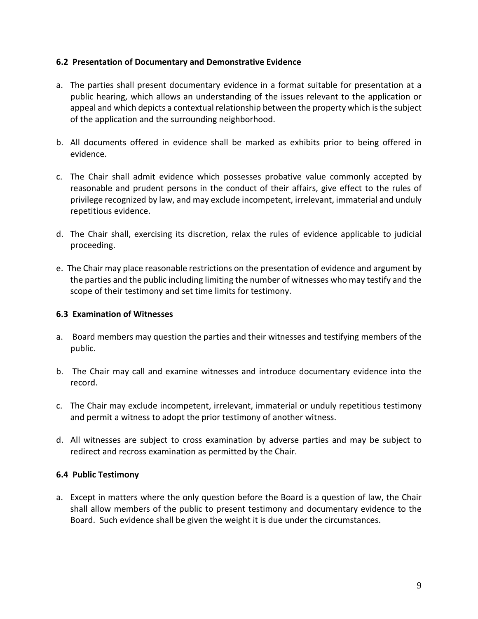#### **6.2 Presentation of Documentary and Demonstrative Evidence**

- a. The parties shall present documentary evidence in a format suitable for presentation at a public hearing, which allows an understanding of the issues relevant to the application or appeal and which depicts a contextual relationship between the property which isthe subject of the application and the surrounding neighborhood.
- b. All documents offered in evidence shall be marked as exhibits prior to being offered in evidence.
- c. The Chair shall admit evidence which possesses probative value commonly accepted by reasonable and prudent persons in the conduct of their affairs, give effect to the rules of privilege recognized by law, and may exclude incompetent, irrelevant, immaterial and unduly repetitious evidence.
- d. The Chair shall, exercising its discretion, relax the rules of evidence applicable to judicial proceeding.
- e. The Chair may place reasonable restrictions on the presentation of evidence and argument by the parties and the public including limiting the number of witnesses who may testify and the scope of their testimony and set time limits for testimony.

#### **6.3 Examination of Witnesses**

- a. Board members may question the parties and their witnesses and testifying members of the public.
- b. The Chair may call and examine witnesses and introduce documentary evidence into the record.
- c. The Chair may exclude incompetent, irrelevant, immaterial or unduly repetitious testimony and permit a witness to adopt the prior testimony of another witness.
- d. All witnesses are subject to cross examination by adverse parties and may be subject to redirect and recross examination as permitted by the Chair.

#### **6.4 Public Testimony**

a. Except in matters where the only question before the Board is a question of law, the Chair shall allow members of the public to present testimony and documentary evidence to the Board. Such evidence shall be given the weight it is due under the circumstances.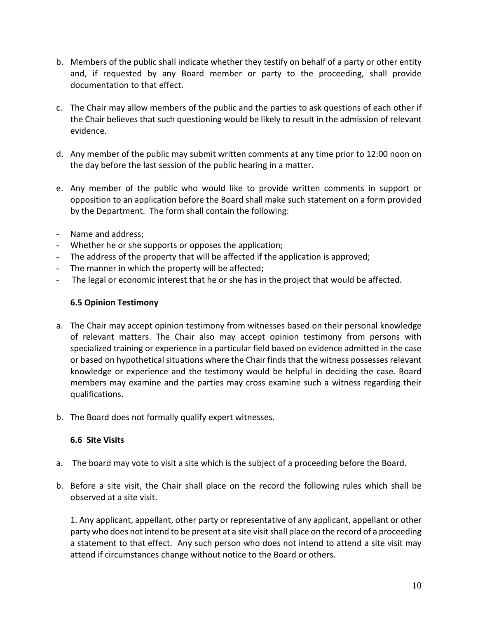- b. Members of the public shall indicate whether they testify on behalf of a party or other entity and, if requested by any Board member or party to the proceeding, shall provide documentation to that effect.
- c. The Chair may allow members of the public and the parties to ask questions of each other if the Chair believes that such questioning would be likely to result in the admission of relevant evidence.
- d. Any member of the public may submit written comments at any time prior to 12:00 noon on the day before the last session of the public hearing in a matter.
- e. Any member of the public who would like to provide written comments in support or opposition to an application before the Board shall make such statement on a form provided by the Department. The form shall contain the following:
- Name and address;
- Whether he or she supports or opposes the application;
- The address of the property that will be affected if the application is approved;
- The manner in which the property will be affected;
- The legal or economic interest that he or she has in the project that would be affected.

#### **6.5 Opinion Testimony**

- a. The Chair may accept opinion testimony from witnesses based on their personal knowledge of relevant matters. The Chair also may accept opinion testimony from persons with specialized training or experience in a particular field based on evidence admitted in the case or based on hypothetical situations where the Chair finds that the witness possesses relevant knowledge or experience and the testimony would be helpful in deciding the case. Board members may examine and the parties may cross examine such a witness regarding their qualifications.
- b. The Board does not formally qualify expert witnesses.

#### **6.6 Site Visits**

- a. The board may vote to visit a site which is the subject of a proceeding before the Board.
- b. Before a site visit, the Chair shall place on the record the following rules which shall be observed at a site visit.

1. Any applicant, appellant, other party or representative of any applicant, appellant or other party who does not intend to be present at a site visit shall place on the record of a proceeding a statement to that effect. Any such person who does not intend to attend a site visit may attend if circumstances change without notice to the Board or others.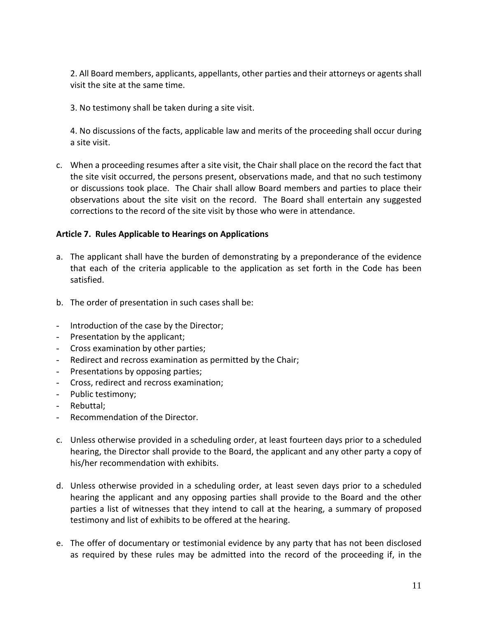2. All Board members, applicants, appellants, other parties and their attorneys or agents shall visit the site at the same time.

3. No testimony shall be taken during a site visit.

4. No discussions of the facts, applicable law and merits of the proceeding shall occur during a site visit.

c. When a proceeding resumes after a site visit, the Chair shall place on the record the fact that the site visit occurred, the persons present, observations made, and that no such testimony or discussions took place. The Chair shall allow Board members and parties to place their observations about the site visit on the record. The Board shall entertain any suggested corrections to the record of the site visit by those who were in attendance.

#### **Article 7. Rules Applicable to Hearings on Applications**

- a. The applicant shall have the burden of demonstrating by a preponderance of the evidence that each of the criteria applicable to the application as set forth in the Code has been satisfied.
- b. The order of presentation in such cases shall be:
- Introduction of the case by the Director;
- Presentation by the applicant;
- Cross examination by other parties;
- Redirect and recross examination as permitted by the Chair;
- Presentations by opposing parties;
- Cross, redirect and recross examination;
- Public testimony;
- Rebuttal;
- Recommendation of the Director.
- c. Unless otherwise provided in a scheduling order, at least fourteen days prior to a scheduled hearing, the Director shall provide to the Board, the applicant and any other party a copy of his/her recommendation with exhibits.
- d. Unless otherwise provided in a scheduling order, at least seven days prior to a scheduled hearing the applicant and any opposing parties shall provide to the Board and the other parties a list of witnesses that they intend to call at the hearing, a summary of proposed testimony and list of exhibits to be offered at the hearing.
- e. The offer of documentary or testimonial evidence by any party that has not been disclosed as required by these rules may be admitted into the record of the proceeding if, in the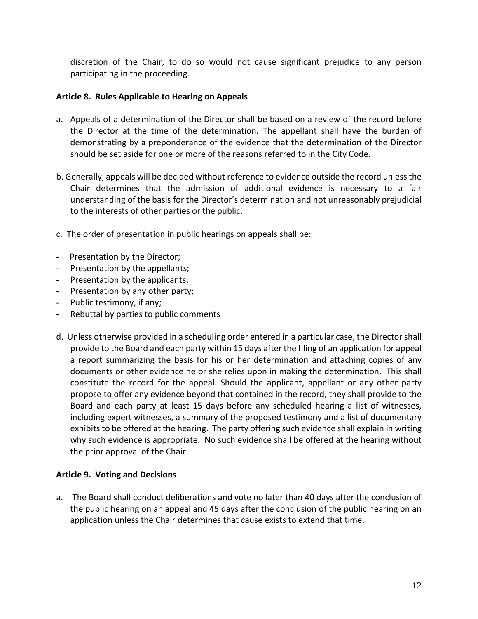discretion of the Chair, to do so would not cause significant prejudice to any person participating in the proceeding.

#### **Article 8. Rules Applicable to Hearing on Appeals**

- a. Appeals of a determination of the Director shall be based on a review of the record before the Director at the time of the determination. The appellant shall have the burden of demonstrating by a preponderance of the evidence that the determination of the Director should be set aside for one or more of the reasons referred to in the City Code.
- b. Generally, appeals will be decided without reference to evidence outside the record unlessthe Chair determines that the admission of additional evidence is necessary to a fair understanding of the basis for the Director's determination and not unreasonably prejudicial to the interests of other parties or the public.
- c. The order of presentation in public hearings on appeals shall be:
- Presentation by the Director;
- Presentation by the appellants;
- Presentation by the applicants;
- Presentation by any other party;
- Public testimony, if any;
- Rebuttal by parties to public comments
- d. Unless otherwise provided in a scheduling order entered in a particular case, the Director shall provide to the Board and each party within 15 days after the filing of an application for appeal a report summarizing the basis for his or her determination and attaching copies of any documents or other evidence he or she relies upon in making the determination. This shall constitute the record for the appeal. Should the applicant, appellant or any other party propose to offer any evidence beyond that contained in the record, they shall provide to the Board and each party at least 15 days before any scheduled hearing a list of witnesses, including expert witnesses, a summary of the proposed testimony and a list of documentary exhibits to be offered at the hearing. The party offering such evidence shall explain in writing why such evidence is appropriate. No such evidence shall be offered at the hearing without the prior approval of the Chair.

#### **Article 9. Voting and Decisions**

a. The Board shall conduct deliberations and vote no later than 40 days after the conclusion of the public hearing on an appeal and 45 days after the conclusion of the public hearing on an application unless the Chair determines that cause exists to extend that time.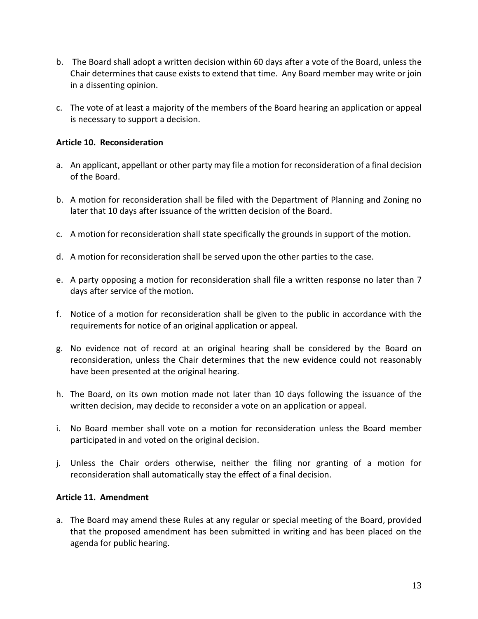- b. The Board shall adopt a written decision within 60 days after a vote of the Board, unless the Chair determines that cause exists to extend that time. Any Board member may write or join in a dissenting opinion.
- c. The vote of at least a majority of the members of the Board hearing an application or appeal is necessary to support a decision.

#### **Article 10. Reconsideration**

- a. An applicant, appellant or other party may file a motion for reconsideration of a final decision of the Board.
- b. A motion for reconsideration shall be filed with the Department of Planning and Zoning no later that 10 days after issuance of the written decision of the Board.
- c. A motion for reconsideration shall state specifically the grounds in support of the motion.
- d. A motion for reconsideration shall be served upon the other parties to the case.
- e. A party opposing a motion for reconsideration shall file a written response no later than 7 days after service of the motion.
- f. Notice of a motion for reconsideration shall be given to the public in accordance with the requirements for notice of an original application or appeal.
- g. No evidence not of record at an original hearing shall be considered by the Board on reconsideration, unless the Chair determines that the new evidence could not reasonably have been presented at the original hearing.
- h. The Board, on its own motion made not later than 10 days following the issuance of the written decision, may decide to reconsider a vote on an application or appeal.
- i. No Board member shall vote on a motion for reconsideration unless the Board member participated in and voted on the original decision.
- j. Unless the Chair orders otherwise, neither the filing nor granting of a motion for reconsideration shall automatically stay the effect of a final decision.

#### **Article 11. Amendment**

a. The Board may amend these Rules at any regular or special meeting of the Board, provided that the proposed amendment has been submitted in writing and has been placed on the agenda for public hearing.